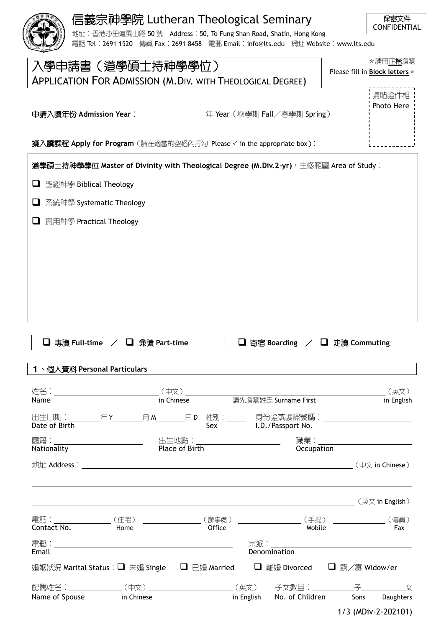| 信義宗神學院 Lutheran Theological Seminary<br>地址: 香港沙田道風山路 50 號 Address: 50, To Fung Shan Road, Shatin, Hong Kong<br>電話 Tel: 2691 1520 傳真 Fax: 2691 8458 電郵 Email: info@lts.edu 網址 Website: www.lts.edu | 保密文件<br><b>CONFIDENTIAL</b>                |
|---------------------------------------------------------------------------------------------------------------------------------------------------------------------------------------------------|--------------------------------------------|
| 入學申請書(道學碩士持神學學位)<br><b>APPLICATION FOR ADMISSION (M.DIV. WITH THEOLOGICAL DEGREE)</b>                                                                                                             | * 請用正楷塡寫<br>Please fill in Block letters * |
|                                                                                                                                                                                                   | 請貼證件相<br>Photo Here                        |

申請入讀年份 **Admission Year**: 年 Year(秋學期 Fall/春學期 Spring)

**擬入讀課程 Apply for Program** (請在適當的空格內打勾 Please √ in the appropriate box):

|   | 道學碩士持神學學位 Master of Divinity with Theological Degree (M.Div.2-yr),主修範圍 Area of Study︰ |
|---|---------------------------------------------------------------------------------------|
| ⊔ | 聖經神學 Biblical Theology                                                                |
| u | 系統神學 Systematic Theology                                                              |
| ⊔ | 實用神學 Practical Theology                                                               |
|   |                                                                                       |
|   |                                                                                       |
|   |                                                                                       |
|   |                                                                                       |
|   |                                                                                       |

|               | <b>□</b> 專讀 Full-time / □ 兼讀 Part-time                                                         |                                        |              | <b>□</b> 寄宿 Boarding / □ 走讀 Commuting     |                     |            |
|---------------|------------------------------------------------------------------------------------------------|----------------------------------------|--------------|-------------------------------------------|---------------------|------------|
|               | 1、個人資料 Personal Particulars                                                                    |                                        |              |                                           |                     |            |
|               |                                                                                                |                                        |              |                                           |                     |            |
|               |                                                                                                |                                        |              |                                           |                     |            |
| Name          |                                                                                                | in Chinese <b>清先填寫姓氏 Surname First</b> |              |                                           |                     | in English |
| Date of Birth | 出生曰期:__________年 Y__________月 M________曰 D 性別:_______ 身份證或護照號碼:__________________              |                                        |              | Sex I.D./Passport No.                     |                     |            |
|               |                                                                                                |                                        |              |                                           |                     |            |
|               |                                                                                                |                                        |              | Occupation                                |                     |            |
|               |                                                                                                |                                        |              |                                           |                     |            |
|               |                                                                                                |                                        |              |                                           |                     |            |
|               |                                                                                                |                                        |              |                                           |                     |            |
|               | 電話:__________________(住宅) _________________(辦事處) ____________________(手提) ________________(傳眞) |                                        |              |                                           |                     |            |
| Contact No.   | Home                                                                                           | Office                                 |              | Mobile                                    |                     | Fax        |
| Email         |                                                                                                |                                        | Denomination |                                           |                     |            |
|               | 婚姻狀況 Marital Status : ■ 末婚 Single  ■ 已婚 Married   ■ 離婚 Divorced   ■ 鰥/寡 Widow/er               |                                        |              |                                           |                     |            |
|               |                                                                                                |                                        |              |                                           |                     |            |
|               | Name of Spouse in Chinese                                                                      |                                        |              | in English No. of Children Sons Daughters |                     |            |
|               |                                                                                                |                                        |              |                                           | 1/3 (MDiv-2-202101) |            |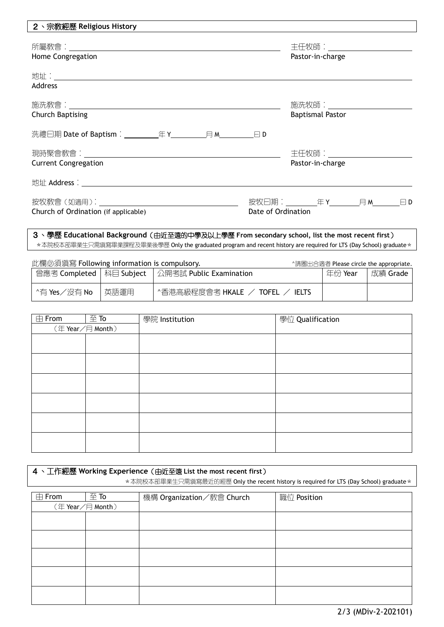| 2丶宗教經歷 Religious History             |                    |                                              |  |
|--------------------------------------|--------------------|----------------------------------------------|--|
|                                      |                    | 主任牧師:__________________________              |  |
| Home Congregation                    |                    | Pastor-in-charge                             |  |
|                                      |                    |                                              |  |
| Address                              |                    |                                              |  |
|                                      |                    |                                              |  |
| <b>Church Baptising</b>              |                    | <b>Baptismal Pastor</b>                      |  |
|                                      |                    |                                              |  |
|                                      |                    |                                              |  |
| <b>Current Congregation</b>          |                    | Pastor-in-charge                             |  |
|                                      |                    |                                              |  |
|                                      |                    | 按牧曰期:___________年 Y__________月 M_________曰 D |  |
| Church of Ordination (if applicable) | Date of Ordination |                                              |  |
|                                      |                    |                                              |  |

3、學歷 **Educational Background**(由近至遠的中學及以上學歷 **From secondary school, list the most recent first**) \*本院校本部畢業生只需填寫畢業課程及畢業後學歷 Only the graduated program and recent history are required for LTS (Day School) graduate \*

| 此欄必須填寫 Following information is compulsory. |      | ^請圈出合適者 Please circle the appropriate.               |         |          |
|---------------------------------------------|------|------------------------------------------------------|---------|----------|
|                                             |      | 曾應考 Completed   科目 Subject   公開考試 Public Examination | 年份 Year | 成績 Grade |
| ^有 Yes/沒有 No                                | 英語運用 | △香港高級程度會考 HKALE / TOFEL<br><b>IELTS</b>              |         |          |

| $\boxplus$ From | $\overline{\oplus}$ To | 學院 Institution | 學位 Qualification |
|-----------------|------------------------|----------------|------------------|
|                 | (年Year/月 Month)        |                |                  |
|                 |                        |                |                  |
|                 |                        |                |                  |
|                 |                        |                |                  |
|                 |                        |                |                  |
|                 |                        |                |                  |
|                 |                        |                |                  |
|                 |                        |                |                  |
|                 |                        |                |                  |
|                 |                        |                |                  |
|                 |                        |                |                  |
|                 |                        |                |                  |
|                 |                        |                |                  |

## 4、工作經歷 **Working Experience**(由近至遠 **List the most recent first**)

\* 本院校本部畢業生只需填寫最近的經歷 Only the recent history is required for LTS (Day School) graduate \*

| $\overline{\boxplus}$ From | $\overline{\oplus}$ To | 機構 Organization/教會 Church | 職位 Position |
|----------------------------|------------------------|---------------------------|-------------|
|                            | (年Year/月 Month)        |                           |             |
|                            |                        |                           |             |
|                            |                        |                           |             |
|                            |                        |                           |             |
|                            |                        |                           |             |
|                            |                        |                           |             |
|                            |                        |                           |             |
|                            |                        |                           |             |
|                            |                        |                           |             |
|                            |                        |                           |             |
|                            |                        |                           |             |